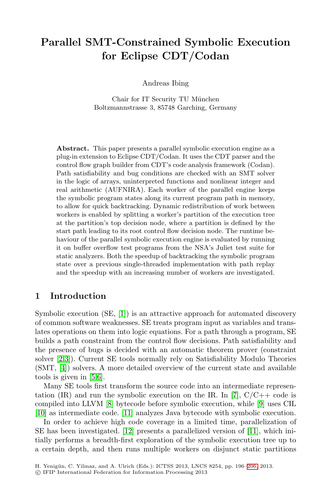# **Parallel SMT-Constrained Symbolic Execution for Eclipse CDT/Codan**

Andreas Ibing

Chair for IT Security TU München Boltzmannstrasse 3, 85748 Garching, Germany

**Abstract.** This paper presents a parallel symbolic execution engine as a plug-in extension to Eclipse CDT/Codan. It uses the CDT parser and the control flow graph builder from CDT's code analysis framework (Codan). Path satisfiability and bug conditions are checked with an SMT solver in the logic of arrays, uninterpreted functions and nonlinear integer and real arithmetic (AUFNIRA). Each worker of the parallel engine keeps the symbolic program states along its current program path in memory, to allow for quick backtracking. Dynamic redistribution of work between workers is enabled by splitting a worker's partition of the execution tree at the partition's top decision node, where a partition is defined by the start path leading to its root control flow decision node. The runtime behaviour of the parallel symbolic execution engine is evaluated by running i[t](#page-9-0) [o](#page-9-0)n buffer overflow test programs from the NSA's Juliet test suite for static analyzers. Both the speedup of backtracking the symbolic program state over a previous single-threaded implementation with path replay and the speedup with an increasing number of workers are investigated.

# **1 Introduction**

[S](#page-9-1)[y](#page-9-2)mbolic execution (SE, [1]) is an attractive approach for automated discovery of common software weaknesses. SE treats [pr](#page-9-3)ogram input as variables and translate[s o](#page-9-4)perations on them into logic equations. For [a p](#page-9-5)ath through a program, SE builds a [pat](#page-10-0)h constraint from the control flow decisions. Path satisfiability and the presence of bugs is decided with an automatic theorem prover (constraint solver [2,[3\]\).](#page-10-1) Current SE tools normally rely o[n S](#page-10-0)atisfiability Modulo Theories (SMT, [4]) solvers. A more detailed overview of the current state and available tools is given in [5,6].

Many SE tools first transform the source code into an intermediate representation (IR) and ru[n th](#page-10-2)e symbolic execution on the IR. In [7],  $C/C++$  code is compiled into LLVM [8] bytecode before symbolic execution, while [9] uses CIL [10] as intermediate code. [11] analyzes Java bytecode with symbolic execution.

In order to achieve high code coverage in a limited time, parallelization of SE has been investigated. [12] presents a parallelized version of [11], which initially performs a breadth-first exploration of the symbolic execution tree up to a certain depth, and then runs multiple workers on disjunct static partitions

H. Yenigün, C. Yilmaz, and A. Ulrich (Eds.): ICTSS 2013, LNCS 8254, pp. 196-206, 2013.

<sup>-</sup>c IFIP International Federation for Information Processing 2013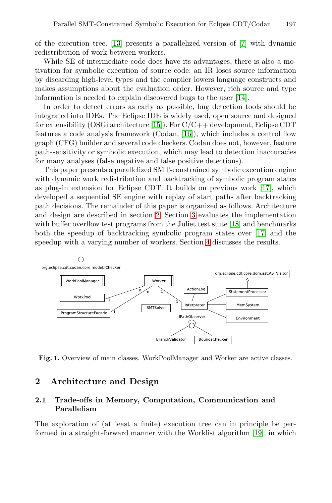of the execution tree. [13] presents a parallelized version of [7] with dynamic redistribution of [wor](#page-10-4)k between workers.

While SE of intermedia[te c](#page-10-5)ode does have its advantages, there is also a motivation for symbolic execution of source code: an IR loses source information by discarding high-level types and the compiler lowers language constructs and makes assumptions about the evaluation order. However, rich source and type information is needed to explain discovered bugs to the user [14].

In order to detect errors as early as possible, bug detection tools should be integrated into IDEs. The Eclipse IDE is widely us[ed,](#page-10-6) open source and designed for extensibility (OSGi architecture [15]). For  $C/C++$  development, Eclipse CDT features a code analysis framework (Codan, [16]), which includes a control flow graph (CFG) buil[der](#page-1-0) and seve[ra](#page-8-0)l code checkers. Codan does not, however, feature path-sensitivity or symbolic execution, w[hich](#page-10-7) may lead to detection inaccuracies for many analyses (false negative and false positi[ve d](#page-10-6)etections).

This paper presents a paralleliz[ed](#page-9-6) SMT-constrained symbolic execution engine with dynamic work redistribution and backtracking of symbolic program states as plug-in extension for Eclipse CDT. It builds on previous work [17], which developed a sequential SE engine with replay of start paths after backtracking path decisions. The remainder of this paper is organized as follows. Architecture and design are described in section 2. Section 3 evaluates the implementation with buffer overflow test programs from the Juliet test suite [18] and benchmarks both the speedup of backtracking symbolic program states over [17] and the speedup with a varying number of workers. Section 4 discusses the results.

<span id="page-1-0"></span>

**Fig. 1.** Overview of main classes. WorkPoolManag[er](#page-10-8) [a](#page-10-8)nd Worker are active classes.

# **2 Architecture and Design**

# **2.1 Trade-offs in Memory, Computation, Communication and Parallelism**

The exploration of (at least a finite) execution tree can in principle be performed in a straight-forward manner with the Worklist algorithm [19], in which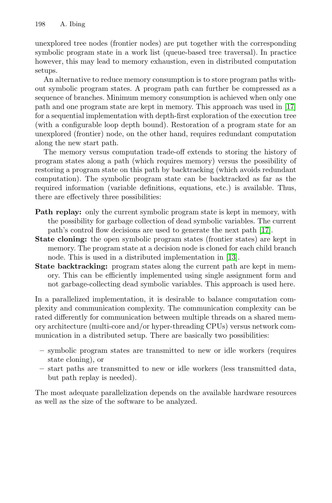unexplored tree nodes (frontier nodes) are put together w[ith](#page-10-6) the corresponding symbolic program state in a work list (queue-based tree traversal). In practice however, this may lead to memory exhaustion, even in distributed computation setups.

An alternative to reduce memory consumption is to store program paths without symbolic program states. A program path can further be compressed as a sequence of branches. Minimum memory consumption is achieved when only one path and one program state are kept in memory. This approach was used in [17] for a sequential implementation with depth-first exploration of the execution tree (with a configurable loop depth bound). Restoration of a program state for an unexplored (frontier) node, on the other hand, requires redundant computation along the new start path.

The memory versus computation trade-off extends to storing the history of program states along a path (which requires mem[ory](#page-10-6)) versus the possibility of restoring a program state on this path by backtracking (which avoids redundant computation). The symbolic program state can be backtracked as far as the required information (variable definitio[ns,](#page-10-9) equations, etc.) is available. Thus, there are effectively three possibilities:

- **Path replay:** only the current symbolic program state is kept in memory, with the possibility for garbage collection of dead symbolic variables. The current path's control flow decisions are used to generate the next path [17].
- **State cloning:** the open symbolic program states (frontier states) are kept in memory. The program state at a decision node is cloned for each child branch node. This is used in a distributed implementation in [13].
- **State backtracking:** program states along the current path are kept in memory. This can be efficiently implemented using single assignment form and not garbage-collecting dead symbolic variables. This approach is used here.

In a parallelized implementation, it is desirable to balance computation complexity and communication complexity. The communication complexity can be rated differently for communication between multiple threads on a shared memory architecture (multi-core and/or hyper-threading CPUs) versus network communication in a distributed setup. There are basically two possibilities:

- **–** symbolic program states are transmitted to new or idle workers (requires state cloning), or
- **–** start paths are transmitted to new or idle workers (less transmitted data, but path replay is needed).

The most adequate parallelization depends on the available hardware resources as well as the size of the software to be analyzed.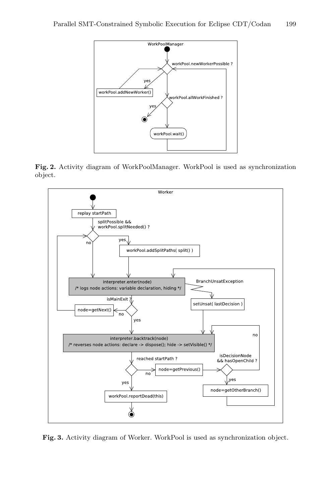<span id="page-3-0"></span>

**Fig. 2.** Activity diagram of WorkPoolManager. WorkPool is used as synchronization object.



<span id="page-3-1"></span>**Fig. 3.** Activity diagram of Worker. WorkPool is used as synchronization object.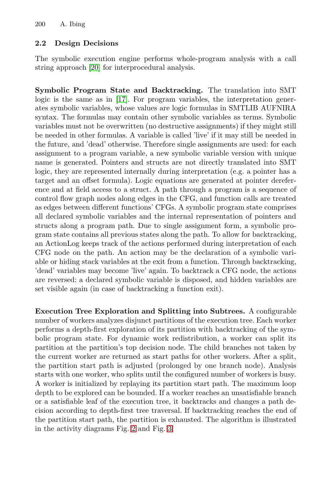### **2.2 Design Decisions**

The symbolic execution engine performs whole-program analysis with a call string approach [20] for interprocedural analysis.

**Symbolic Program State and Backtracking.** The translation into SMT logic is the same as in [17]. For program variables, the interpretation generates symbolic variables, whose values are logic formulas in SMTLIB AUFNIRA syntax. The formulas may contain other symbolic variables as terms. Symbolic variables must not be overwritten (no destructive assignments) if they might still be needed in other formulas. A variable is called 'live' if it may still be needed in the future, and 'dead' otherwise. Therefore single assignments are used: for each assignment to a program variable, a new symbolic variable version with unique name is generated. Pointers and structs are not directly translated into SMT logic, they are represented internally during interpretation (e.g. a pointer has a target and an offset formula). Logic equations are generated at pointer dereference and at field access to a struct. A path through a program is a sequence of control flow graph nodes along edges in the CFG, and function calls are treated as edges between different functions' CFGs. A symbolic program state comprises all declared symbolic variables and the internal representation of pointers and structs along a program path. Due to single assignment form, a symbolic program state contains all previous states along the path. To allow for backtracking, an ActionLog keeps track of the actions performed during interpretation of each CFG node on the path. An action may be the declaration of a symbolic variable or hiding stack variables at the exit from a function. Through backtracking, 'dead' variables may become 'live' again. To backtrack a CFG node, the actions are reversed: a declared symbolic variable is disposed, and hidden variables are set visible again (in case of backtracking a function exit).

**Execution Tree Exploration and Splitting into Subtrees.** A configurable number of workers analyzes disjunct partitions of the execution tree. Each worker performs a depth-first exploration of its partition with backtracking of the symbolic program state. For dynamic work redistribution, a worker can split its partition at the partition's top decision node. The child branches not taken by the curren[t w](#page-3-0)orker ar[e r](#page-3-1)eturned as start paths for other workers. After a split, the partition start path is adjusted (prolonged by one branch node). Analysis starts with one worker, who splits until the configured number of workers is busy. A worker is initialized by replaying its partition start path. The maximum loop depth to be explored can be bounded. If a worker reaches an unsatisfiable branch or a satisfiable leaf of the execution tree, it backtracks and changes a path decision according to depth-first tree traversal. If backtracking reaches the end of the partition start path, the partition is exhausted. The algorithm is illustrated in the activity diagrams Fig. 2 and Fig. 3.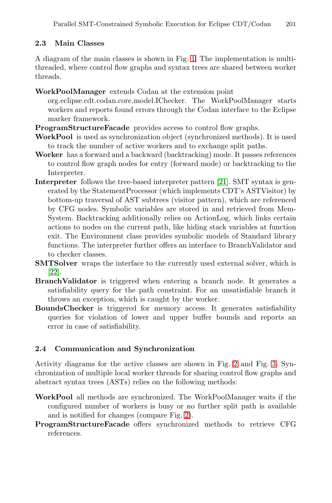# **2.3 Main Classes**

A diagram of the main classes is shown in Fig. 1. The implementation is multithreaded, where control flow graphs and syntax trees are shared between worker threads.

- **WorkPoolManager** extends Codan at the extension point
	- org.eclipse.cdt.codan.core.model.IChecker. The WorkPoolManager starts workers and reports found errors [thro](#page-10-10)ugh the Codan interface to the Eclipse marker framework.
- **ProgramStructureFacade** provides access to control flow graphs.
- **WorkPool** is used as synchronization object (synchronized methods). It is used to track the number of active workers and to exchange split paths.
- **Worker** has a forward and a backward (backtracking) mode. It passes references to control flow graph nodes for entry (forward mode) or backtracking to the Interpreter.
- **Interpreter** follows the tree-based interpreter pattern [21]. SMT syntax is generated by the StatementProcessor (which implements CDT's ASTVisitor) by bottom-up traversal of AST subtrees (visitor pattern), which are referenced by CFG nodes. Symbolic variables are stored in and retrieved from Mem-System. Backtracking additionally relies on ActionLog, which links certain actions to nodes on the current path, like hiding stack variables at function exit. The Environment class provides symbolic models of Standard library functions. The interpreter further offers an interface to BranchValidator and to checker classes.
- **SMTSolver** wraps the interface to the currently used external solver, which is [22].
- **BranchValidator** is triggered when entering a branch node. It generates a satisfiability query for the path constraint. For an unsatisfiable branch it throws an exception, which is caught [by](#page-3-0) the work[er](#page-3-1).
- **BoundsChecker** is triggered for memory access. It generates satisfiability queries for violation of lower and upper buffer bounds and reports an error in case of satisfiability.

#### **2.4 Communication a[nd](#page-3-0) Synchronization**

Activity diagrams for the active classes are shown in Fig. 2 and Fig. 3. Synchronization of multiple local worker threads for sharing control flow graphs and abstract syntax trees (ASTs) relies on the following methods:

- **WorkPool** all methods are synchronized. The WorkPoolManager waits if the configured number of workers is busy or no further split path is available and is notified for changes (compare Fig. 2).
- **ProgramStructureFacade** offers synchronized methods to retrieve CFG references.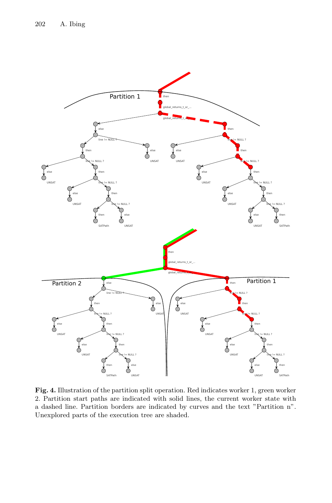

<span id="page-6-0"></span>**Fig. 4.** Illustration of the partition split operation. Red indicates worker 1, green worker 2. Partition start paths are indicated with solid lines, the current worker state with a dashed line. Partition borders are indicated by curves and the text "Partition n". Unexplored parts of the execution tree are shaded.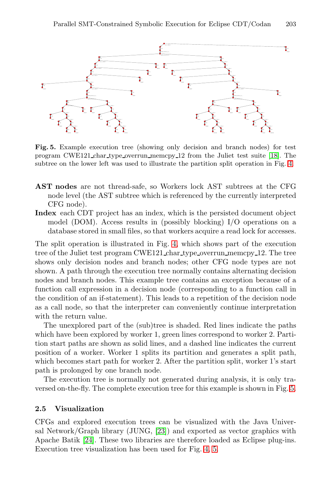<span id="page-7-0"></span>

**Fig. 5.** Example execution tree (showing only decision and branch nodes) for test program CWE121 char type overrun memcpy 12 from the Juliet test suite [18]. The subtree on the lower left was used to illustrate the partition split operation in Fig. 4.

- **AST nodes** are not thread-safe, so Workers lock AST subtrees at the CFG node level (the AST subtree which is referenced by the currently interpreted CFG node).
- **Index** each CDT project has an index, which is the persisted document object model (DOM). Access results in (possibly blocking) I/O operations on a database stored in small files, so that workers acquire a read lock for accesses.

The split operation is illustrated in Fig. 4, which shows part of the execution tree of the Juliet test program CWE121 char type overrun memcpy 12. The tree shows only decision nodes and branch nodes; other CFG node types are not shown. A path through the execution tree normally contains alternating decision nodes and branch nodes. This example tree contains an exception because of a function call expression in a decision node (corresponding to a function call in the condition of an if-statement). This leads to a repetition of the decision node as a call node, so that the interpreter can conveniently continue interpretation with the return value.

The unexplored part of the (sub)tree is shaded. Red lin[es](#page-7-0) indicate the paths which have been explored by worker 1, green lines correspond to worker 2. Partition start paths are shown as solid lines, and a dashed line indicates the current position of a worker. Worker 1 splits its partition and generates a split path, which becomes sta[rt p](#page-10-11)ath for worker 2. After the partition split, worker 1's start path is prolonged by one branch node.

The execution tree is normall[y n](#page-6-0)[ot](#page-7-0) generated during analysis, it is only traversed on-the-fly. The complete execution tree for this example is shown in Fig. 5.

#### **2.5 Visualization**

CFGs and explored execution trees can be visualized with the Java Universal Network/Graph library (JUNG, [23]) and exported as vector graphics with Apache Batik [24]. These two libraries are therefore loaded as Eclipse plug-ins. Execution tree visualization has been used for Fig. 4, 5.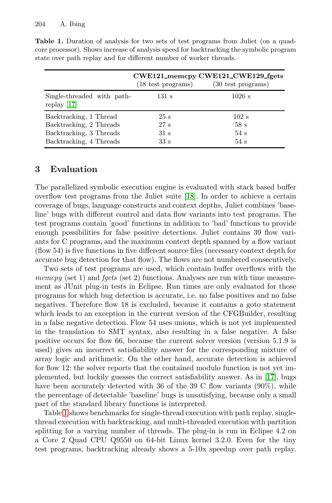|                                             | (18 test programs) | CWE121_memcpy CWE121_CWE129_fgets<br>$(30 \text{ test programs})$ |
|---------------------------------------------|--------------------|-------------------------------------------------------------------|
| Single-threaded with path-<br>replay $[17]$ | 131 s              | $1026$ s                                                          |
| Backtracking, 1 Thread                      | 25 s               | 102 s                                                             |
| Backtracking, 2 Threads                     | 27 s               | 58s                                                               |
| Backtracking, 3 Threads                     | 31 s               | $54\mathrm{s}$                                                    |
| Backtracking, 4 Threads                     | 33 s               | $54\mathrm{s}$                                                    |

<span id="page-8-0"></span>Table 1. Duration of analysis for two sets of test programs from Juliet (on a quadcore processor). Shows increase of analysis speed for backtracking the symbolic program state over path replay and for different number of worker threads.

# **3 Evaluation**

The parallelized symbolic execution engine is evaluated with stack based buffer overflow test programs from the Juliet suite [18]. In order to achieve a certain coverage of bugs, language constructs and context depths, Juliet combines 'baseline' bugs with different control and data flow variants into test programs. The test programs contain 'good' functions in addition to 'bad' functions to provide enough possibilities for false positive detections. Juliet contains 39 flow variants for C programs, and the maximum context depth spanned by a flow variant (flow 54) is five functions in five different source files (necessary context depth for accurate bug detection for that flow). The flows are not numbered consecutively.

Two sets of test programs are used, which contain buffer overflows with the *memcpy* (set 1) and *fgets* (set 2) functions. Analyses are run with time measurement as JUnit plug-in tests in Eclipse. Run times are only evaluated for those programs for which bug detection is accurate, i.e. no false positives and no false negatives. Therefore flow 18 is excluded, because it [co](#page-10-6)ntains a goto statement which leads to an exception in the current version of the CFGBuilder, resulting in a false negative detection. Flow 54 uses unions, which is not yet implemented in the translation to SMT syntax, also resulting in a false negative. A false positive occurs for flow 66, because the current solver version (version 5.1.9 is used) gives an incorrect satisfiability answer for the corresponding mixture of array logic and arithmetic. On the other hand, accurate detection is achieved for flow 12: the solver reports that the contained modulo function is not yet implemented, but luckily guesses the correct satisfiability answer. As in [17], bugs have been accurately detected with 36 of the 39 C flow variants  $(90\%)$ , while the percentage of detectable 'baseline' bugs is unsatisfying, because only a small part of the standard library functions is interpreted.

Table 1 shows benchmarks for single-thread execution with path replay, singlethread execution with backtracking, and multi-threaded execution with partition splitting for a varying number of threads. The plug-in is run in Eclipse 4.2 on a Core 2 Quad CPU Q9550 on 64-bit Linux kernel 3.2.0. Even for the tiny test programs, backtracking already shows a 5-10x speedup over path replay.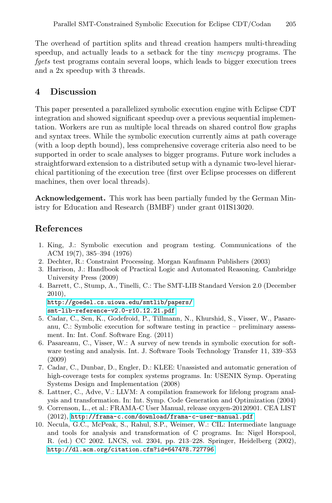<span id="page-9-6"></span>The overhead of partition splits and thread creation hampers multi-threading speedup, and actually leads to a setback for the tiny *memcpy* programs. The *fgets* test programs contain several loops, which leads to bigger execution trees and a 2x speedup with 3 threads.

# **4 Discussion**

<span id="page-9-0"></span>This paper presented a parallelized symbolic execution engine with Eclipse CDT integration and showed significant speedup over a previous sequential implementation. Workers are run as multiple local threads on shared control flow graphs and syntax trees. While the symbolic execution currently aims at path coverage (with a loop depth bound), less comprehensive coverage criteria also need to be supported in order to scale analyses to bigger programs. Future work includes a straightforward extension to a distributed setup with a dynamic two-level hierarchical partitioning of the execution tree (first over Eclipse processes on different machines, then over local threads).

<span id="page-9-2"></span><span id="page-9-1"></span>**Acknowledgement.** This work has been partially funded by the German Ministry for Education and Research (BMBF) under grant 01IS13020.

#### <span id="page-9-3"></span>**[References](http://goedel.cs.uiowa.edu/smtlib/papers/smt-lib-reference-v2.0-r10.12.21.pdf)**

- [1.](http://goedel.cs.uiowa.edu/smtlib/papers/smt-lib-reference-v2.0-r10.12.21.pdf) [King,](http://goedel.cs.uiowa.edu/smtlib/papers/smt-lib-reference-v2.0-r10.12.21.pdf) [J.:](http://goedel.cs.uiowa.edu/smtlib/papers/smt-lib-reference-v2.0-r10.12.21.pdf) [Symbolic](http://goedel.cs.uiowa.edu/smtlib/papers/smt-lib-reference-v2.0-r10.12.21.pdf) [ex](http://goedel.cs.uiowa.edu/smtlib/papers/smt-lib-reference-v2.0-r10.12.21.pdf)ecution and program testing. Communications of the ACM 19(7), 385–394 (1976)
- <span id="page-9-4"></span>2. Dechter, R.: Constraint Processing. Morgan Kaufmann Publishers (2003)
- <span id="page-9-5"></span>3. Harrison, J.: Handbook of Practical Logic and Automated Reasoning. Cambridge University Press (2009)
- 4. Barrett, C., Stump, A., Tinelli, C.: The SMT-LIB Standard Version 2.0 (December 2010),

http://goedel.cs.uiowa.edu/smtlib/papers/ smt-lib-reference-v2.0-r10.12.21.pdf

- 5. Cadar, C., Sen, K., Godefroid, P., Tillmann, N., Khurshid, S., Visser, W., Pasareanu, C.: Symbolic execution for software testing in practice – preliminary assessment. In: Int. Conf. Software Eng. (2011)
- 6. Pasareanu, C., Visser, W.: A survey of new trends in symbolic execution for soft[ware](http://frama-c.com/download/frama-c-user-manual.pdf) [testing](http://frama-c.com/download/frama-c-user-manual.pdf) [and](http://frama-c.com/download/frama-c-user-manual.pdf) [analysis.](http://frama-c.com/download/frama-c-user-manual.pdf) [Int.](http://frama-c.com/download/frama-c-user-manual.pdf) [J.](http://frama-c.com/download/frama-c-user-manual.pdf) [Software](http://frama-c.com/download/frama-c-user-manual.pdf) [Tools](http://frama-c.com/download/frama-c-user-manual.pdf) Technology Transfer 11, 339–353 (2009)
- 7. Cadar, C., Dunbar, D., Engler, D.: KLEE: Unassisted and automatic generation of high-coverage tests for complex systems programs. In: USENIX Symp. Operating [Systems](http://dl.acm.org/citation.cfm?id=647478.727796) [Design](http://dl.acm.org/citation.cfm?id=647478.727796) [and](http://dl.acm.org/citation.cfm?id=647478.727796) [Implementation](http://dl.acm.org/citation.cfm?id=647478.727796) (2008)
- 8. Lattner, C., Adve, V.: LLVM: A compilation framework for lifelong program analysis and transformation. In: Int. Symp. Code Generation and Optimization (2004)
- 9. Correnson, L., et al.: FRAMA-C User Manual, release oxygen-20120901. CEA LIST (2012), http://frama-c.com/download/frama-c-user-manual.pdf
- 10. Necula, G.C., McPeak, S., Rahul, S.P., Weimer, W.: CIL: Intermediate language and tools for analysis and transformation of C programs. In: Nigel Horspool, R. (ed.) CC 2002. LNCS, vol. 2304, pp. 213–228. Springer, Heidelberg (2002), http://dl.acm.org/citation.cfm?id=647478.727796